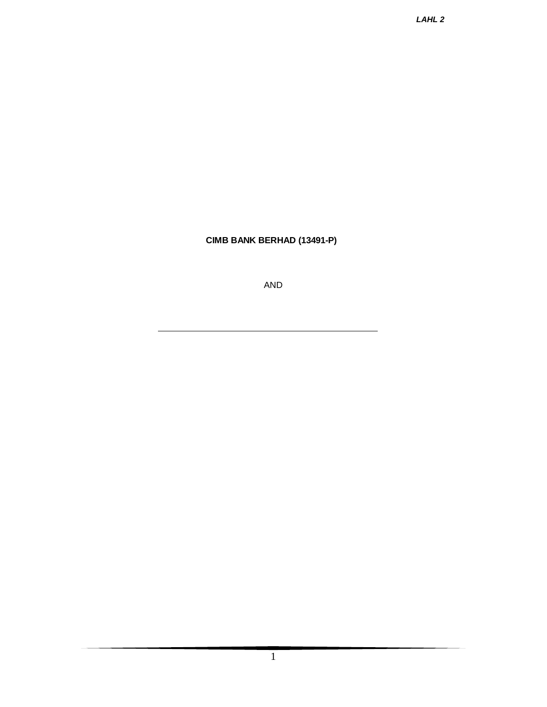**CIMB BANK BERHAD (13491-P)**

AND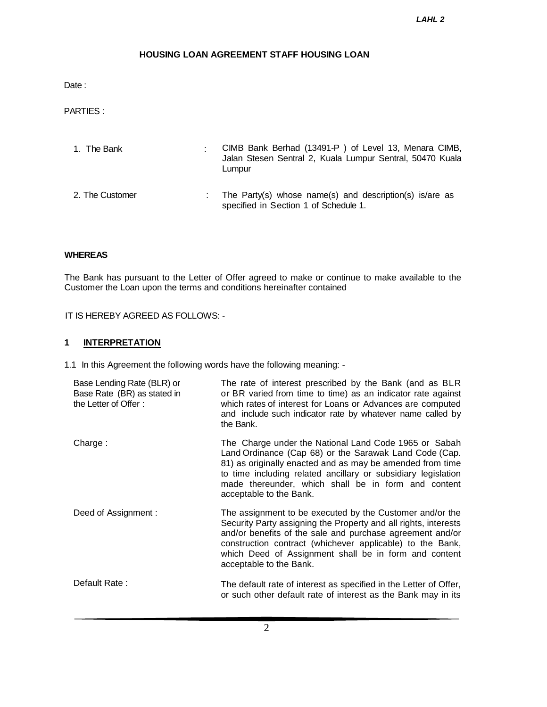# **HOUSING LOAN AGREEMENT STAFF HOUSING LOAN**

Date:

PARTIES :

| 1. The Bank     | CIMB Bank Berhad (13491-P) of Level 13, Menara CIMB,<br>Jalan Stesen Sentral 2, Kuala Lumpur Sentral, 50470 Kuala<br>Lumpur |
|-----------------|-----------------------------------------------------------------------------------------------------------------------------|
| 2. The Customer | The Party(s) whose name(s) and description(s) is/are as<br>specified in Section 1 of Schedule 1.                            |

### **WHEREAS**

The Bank has pursuant to the Letter of Offer agreed to make or continue to make available to the Customer the Loan upon the terms and conditions hereinafter contained

IT IS HEREBY AGREED AS FOLLOWS: -

# **1 INTERPRETATION**

1.1 In this Agreement the following words have the following meaning: -

| Base Lending Rate (BLR) or<br>Base Rate (BR) as stated in<br>the Letter of Offer: | The rate of interest prescribed by the Bank (and as BLR<br>or BR varied from time to time) as an indicator rate against<br>which rates of interest for Loans or Advances are computed<br>and include such indicator rate by whatever name called by<br>the Bank.                                                                          |
|-----------------------------------------------------------------------------------|-------------------------------------------------------------------------------------------------------------------------------------------------------------------------------------------------------------------------------------------------------------------------------------------------------------------------------------------|
| Charge:                                                                           | The Charge under the National Land Code 1965 or Sabah<br>Land Ordinance (Cap 68) or the Sarawak Land Code (Cap.<br>81) as originally enacted and as may be amended from time<br>to time including related ancillary or subsidiary legislation<br>made thereunder, which shall be in form and content<br>acceptable to the Bank.           |
| Deed of Assignment:                                                               | The assignment to be executed by the Customer and/or the<br>Security Party assigning the Property and all rights, interests<br>and/or benefits of the sale and purchase agreement and/or<br>construction contract (whichever applicable) to the Bank,<br>which Deed of Assignment shall be in form and content<br>acceptable to the Bank. |
| Default Rate:                                                                     | The default rate of interest as specified in the Letter of Offer,<br>or such other default rate of interest as the Bank may in its                                                                                                                                                                                                        |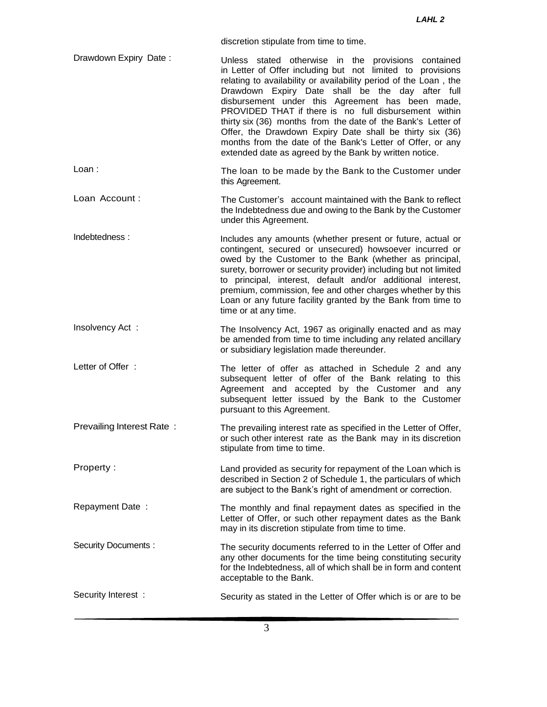discretion stipulate from time to time.

- Drawdown Expiry Date: Unless stated otherwise in the provisions contained in Letter of Offer including but not limited to provisions relating to availability or availability period of the Loan , the Drawdown Expiry Date shall be the day after full disbursement under this Agreement has been made, PROVIDED THAT if there is no full disbursement within thirty six (36) months from the date of the Bank's Letter of Offer, the Drawdown Expiry Date shall be thirty six (36) months from the date of the Bank's Letter of Offer, or any extended date as agreed by the Bank by written notice.
- Loan : The loan to be made by the Bank to the Customer under this Agreement.
- Loan Account : The Customer's account maintained with the Bank to reflect the Indebtedness due and owing to the Bank by the Customer under this Agreement.
- Indebtedness : Includes any amounts (whether present or future, actual or contingent, secured or unsecured) howsoever incurred or owed by the Customer to the Bank (whether as principal, surety, borrower or security provider) including but not limited to principal, interest, default and/or additional interest, premium, commission, fee and other charges whether by this Loan or any future facility granted by the Bank from time to time or at any time.
- Insolvency Act : The Insolvency Act, 1967 as originally enacted and as may be amended from time to time including any related ancillary or subsidiary legislation made thereunder.
- Letter of Offer : The letter of offer as attached in Schedule 2 and any subsequent letter of offer of the Bank relating to this Agreement and accepted by the Customer and any subsequent letter issued by the Bank to the Customer pursuant to this Agreement.
- Prevailing Interest Rate: The prevailing interest rate as specified in the Letter of Offer, or such other interest rate as the Bank may in its discretion stipulate from time to time.
- Property : Land provided as security for repayment of the Loan which is described in Section 2 of Schedule 1, the particulars of which are subject to the Bank's right of amendment or correction.
- Repayment Date : The monthly and final repayment dates as specified in the Letter of Offer, or such other repayment dates as the Bank may in its discretion stipulate from time to time.
- Security Documents : The security documents referred to in the Letter of Offer and any other documents for the time being constituting security for the Indebtedness, all of which shall be in form and content acceptable to the Bank.
- Security Interest : Security as stated in the Letter of Offer which is or are to be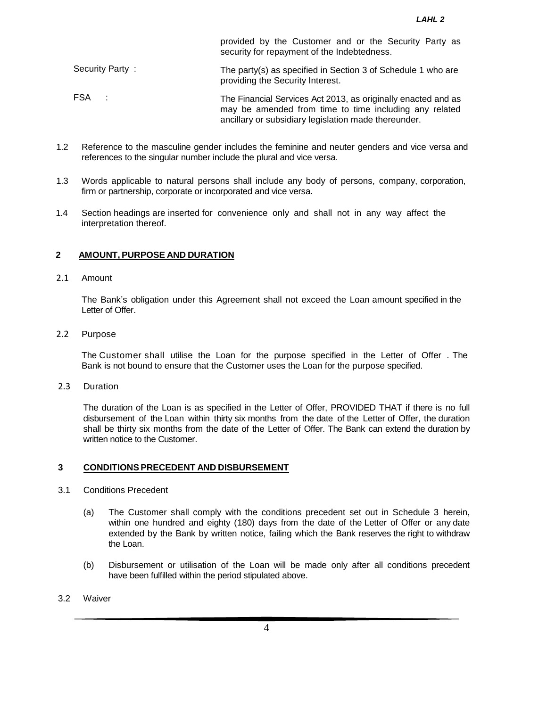security for repayment of the Indebtedness. Security Party : The party(s) as specified in Section 3 of Schedule 1 who are providing the Security Interest. FSA : The Financial Services Act 2013, as originally enacted and as may be amended from time to time including any related ancillary or subsidiary legislation made thereunder.

provided by the Customer and or the Security Party as

- 1.2 Reference to the masculine gender includes the feminine and neuter genders and vice versa and references to the singular number include the plural and vice versa.
- 1.3 Words applicable to natural persons shall include any body of persons, company, corporation, firm or partnership, corporate or incorporated and vice versa.
- 1.4 Section headings are inserted for convenience only and shall not in any way affect the interpretation thereof.

#### **2 AMOUNT, PURPOSE AND DURATION**

#### 2.1 Amount

The Bank's obligation under this Agreement shall not exceed the Loan amount specified in the Letter of Offer.

# 2.2 Purpose

The Customer shall utilise the Loan for the purpose specified in the Letter of Offer . The Bank is not bound to ensure that the Customer uses the Loan for the purpose specified.

2.3 Duration

The duration of the Loan is as specified in the Letter of Offer, PROVIDED THAT if there is no full disbursement of the Loan within thirty six months from the date of the Letter of Offer, the duration shall be thirty six months from the date of the Letter of Offer. The Bank can extend the duration by written notice to the Customer.

### **3 CONDITIONS PRECEDENT AND DISBURSEMENT**

- 3.1 Conditions Precedent
	- (a) The Customer shall comply with the conditions precedent set out in Schedule 3 herein, within one hundred and eighty (180) days from the date of the Letter of Offer or any date extended by the Bank by written notice, failing which the Bank reserves the right to withdraw the Loan.
	- (b) Disbursement or utilisation of the Loan will be made only after all conditions precedent have been fulfilled within the period stipulated above.
- 3.2 Waiver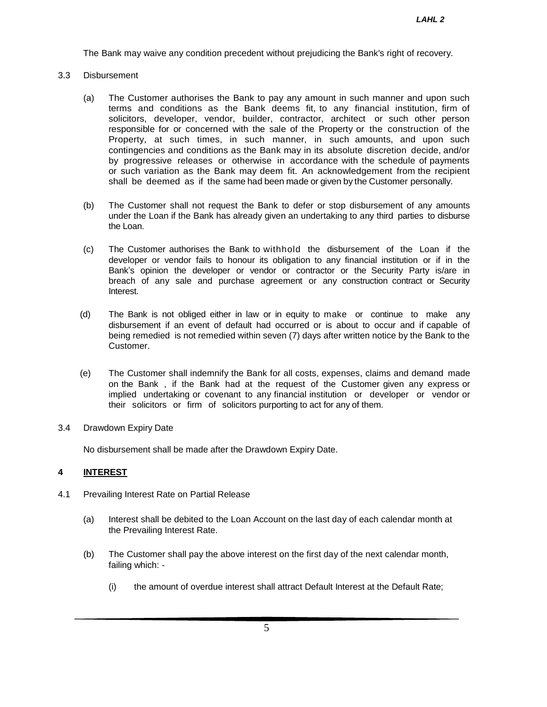The Bank may waive any condition precedent without prejudicing the Bank's right of recovery.

### 3.3 Disbursement

- (a) The Customer authorises the Bank to pay any amount in such manner and upon such terms and conditions as the Bank deems fit, to any financial institution, firm of solicitors, developer, vendor, builder, contractor, architect or such other person responsible for or concerned with the sale of the Property or the construction of the Property, at such times, in such manner, in such amounts, and upon such contingencies and conditions as the Bank may in its absolute discretion decide, and/or by progressive releases or otherwise in accordance with the schedule of payments or such variation as the Bank may deem fit. An acknowledgement from the recipient shall be deemed as if the same had been made or given by the Customer personally.
- (b) The Customer shall not request the Bank to defer or stop disbursement of any amounts under the Loan if the Bank has already given an undertaking to any third parties to disburse the Loan.
- (c) The Customer authorises the Bank to withhold the disbursement of the Loan if the developer or vendor fails to honour its obligation to any financial institution or if in the Bank's opinion the developer or vendor or contractor or the Security Party is/are in breach of any sale and purchase agreement or any construction contract or Security Interest.
- (d) The Bank is not obliged either in law or in equity to make or continue to make any disbursement if an event of default had occurred or is about to occur and if capable of being remedied is not remedied within seven (7) days after written notice by the Bank to the Customer.
- (e) The Customer shall indemnify the Bank for all costs, expenses, claims and demand made on the Bank , if the Bank had at the request of the Customer given any express or implied undertaking or covenant to any financial institution or developer or vendor or their solicitors or firm of solicitors purporting to act for any of them.
- 3.4 Drawdown Expiry Date

No disbursement shall be made after the Drawdown Expiry Date.

### **4 INTEREST**

- 4.1 Prevailing Interest Rate on Partial Release
	- (a) Interest shall be debited to the Loan Account on the last day of each calendar month at the Prevailing Interest Rate.
	- (b) The Customer shall pay the above interest on the first day of the next calendar month, failing which: -
		- (i) the amount of overdue interest shall attract Default Interest at the Default Rate;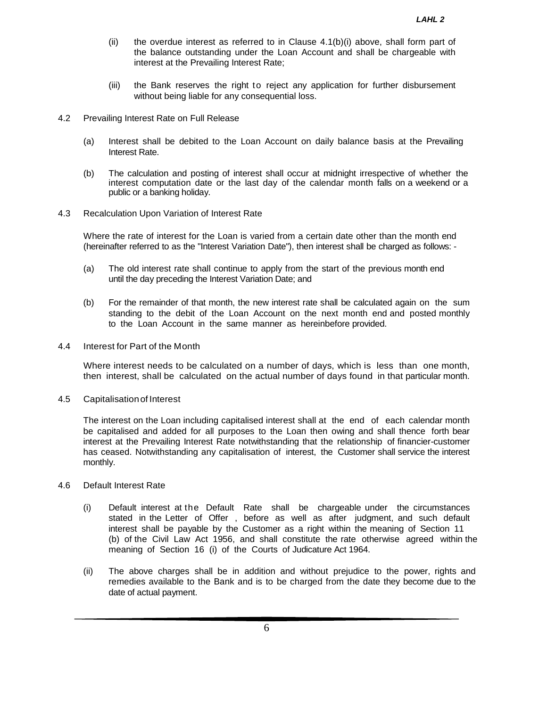- (ii) the overdue interest as referred to in Clause  $4.1(b)(i)$  above, shall form part of the balance outstanding under the Loan Account and shall be chargeable with interest at the Prevailing Interest Rate;
- (iii) the Bank reserves the right to reject any application for further disbursement without being liable for any consequential loss.
- 4.2 Prevailing Interest Rate on Full Release
	- (a) Interest shall be debited to the Loan Account on daily balance basis at the Prevailing Interest Rate.
	- (b) The calculation and posting of interest shall occur at midnight irrespective of whether the interest computation date or the last day of the calendar month falls on a weekend or a public or a banking holiday.
- 4.3 Recalculation Upon Variation of Interest Rate

Where the rate of interest for the Loan is varied from a certain date other than the month end (hereinafter referred to as the "Interest Variation Date"), then interest shall be charged as follows: -

- (a) The old interest rate shall continue to apply from the start of the previous month end until the day preceding the Interest Variation Date; and
- (b) For the remainder of that month, the new interest rate shall be calculated again on the sum standing to the debit of the Loan Account on the next month end and posted monthly to the Loan Account in the same manner as hereinbefore provided.
- 4.4 Interest for Part of the Month

Where interest needs to be calculated on a number of days, which is less than one month, then interest, shall be calculated on the actual number of days found in that particular month.

4.5 Capitalisationof Interest

The interest on the Loan including capitalised interest shall at the end of each calendar month be capitalised and added for all purposes to the Loan then owing and shall thence forth bear interest at the Prevailing Interest Rate notwithstanding that the relationship of financier-customer has ceased. Notwithstanding any capitalisation of interest, the Customer shall service the interest monthly.

- 4.6 Default Interest Rate
	- (i) Default interest at the Default Rate shall be chargeable under the circumstances stated in the Letter of Offer , before as well as after judgment, and such default interest shall be payable by the Customer as a right within the meaning of Section 11 (b) of the Civil Law Act 1956, and shall constitute the rate otherwise agreed within the meaning of Section 16 (i) of the Courts of Judicature Act 1964.
	- (ii) The above charges shall be in addition and without prejudice to the power, rights and remedies available to the Bank and is to be charged from the date they become due to the date of actual payment.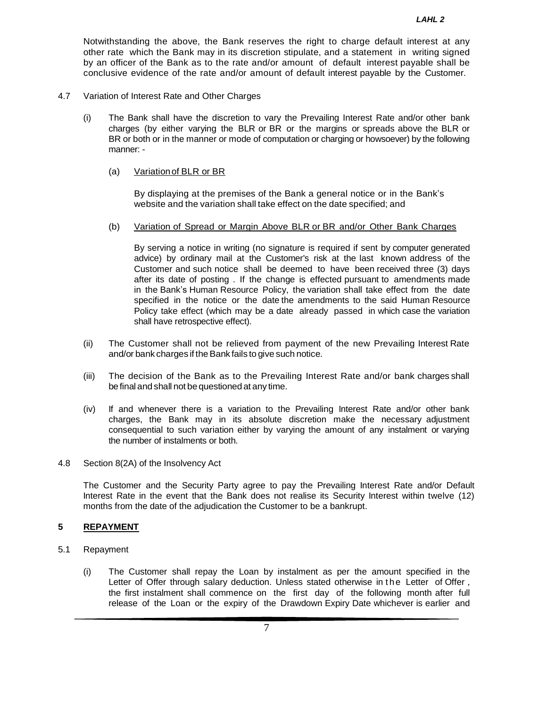Notwithstanding the above, the Bank reserves the right to charge default interest at any other rate which the Bank may in its discretion stipulate, and a statement in writing signed by an officer of the Bank as to the rate and/or amount of default interest payable shall be conclusive evidence of the rate and/or amount of default interest payable by the Customer.

- 4.7 Variation of Interest Rate and Other Charges
	- (i) The Bank shall have the discretion to vary the Prevailing Interest Rate and/or other bank charges (by either varying the BLR or BR or the margins or spreads above the BLR or BR or both or in the manner or mode of computation or charging or howsoever) by the following manner: -
		- (a) Variationof BLR or BR

By displaying at the premises of the Bank a general notice or in the Bank's website and the variation shall take effect on the date specified; and

(b) Variation of Spread or Margin Above BLR or BR and/or Other Bank Charges

By serving a notice in writing (no signature is required if sent by computer generated advice) by ordinary mail at the Customer's risk at the last known address of the Customer and such notice shall be deemed to have been received three (3) days after its date of posting . If the change is effected pursuant to amendments made in the Bank's Human Resource Policy, the variation shall take effect from the date specified in the notice or the date the amendments to the said Human Resource Policy take effect (which may be a date already passed in which case the variation shall have retrospective effect).

- (ii) The Customer shall not be relieved from payment of the new Prevailing Interest Rate and/or bank charges if the Bank fails to give such notice.
- (iii) The decision of the Bank as to the Prevailing Interest Rate and/or bank charges shall befinal and shall not be questioned at any time.
- (iv) If and whenever there is a variation to the Prevailing Interest Rate and/or other bank charges, the Bank may in its absolute discretion make the necessary adjustment consequential to such variation either by varying the amount of any instalment or varying the number of instalments or both.
- 4.8 Section 8(2A) of the Insolvency Act

The Customer and the Security Party agree to pay the Prevailing Interest Rate and/or Default Interest Rate in the event that the Bank does not realise its Security Interest within twelve (12) months from the date of the adjudication the Customer to be a bankrupt.

# **5 REPAYMENT**

- 5.1 Repayment
	- (i) The Customer shall repay the Loan by instalment as per the amount specified in the Letter of Offer through salary deduction. Unless stated otherwise in the Letter of Offer, the first instalment shall commence on the first day of the following month after full release of the Loan or the expiry of the Drawdown Expiry Date whichever is earlier and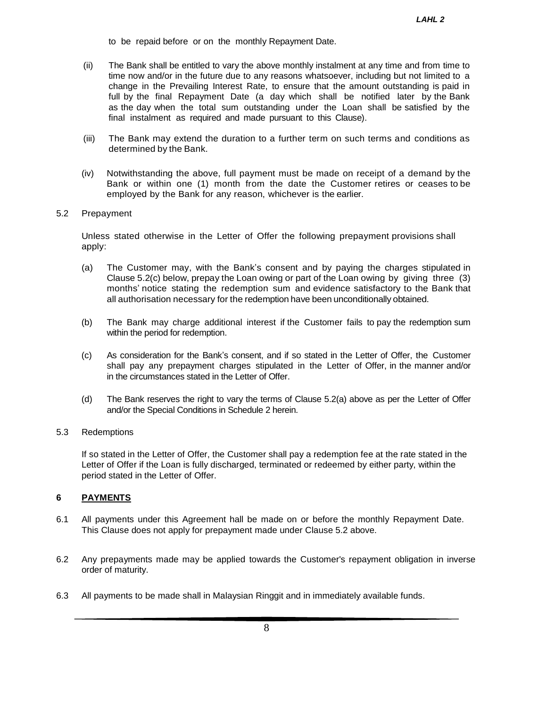- to be repaid before or on the monthly Repayment Date.
- (ii) The Bank shall be entitled to vary the above monthly instalment at any time and from time to time now and/or in the future due to any reasons whatsoever, including but not limited to a change in the Prevailing Interest Rate, to ensure that the amount outstanding is paid in full by the final Repayment Date (a day which shall be notified later by the Bank as the day when the total sum outstanding under the Loan shall be satisfied by the final instalment as required and made pursuant to this Clause).
- (iii) The Bank may extend the duration to a further term on such terms and conditions as determined by the Bank.
- (iv) Notwithstanding the above, full payment must be made on receipt of a demand by the Bank or within one (1) month from the date the Customer retires or ceases to be employed by the Bank for any reason, whichever is the earlier.

#### 5.2 Prepayment

Unless stated otherwise in the Letter of Offer the following prepayment provisions shall apply:

- (a) The Customer may, with the Bank's consent and by paying the charges stipulated in Clause 5.2(c) below, prepay the Loan owing or part of the Loan owing by giving three (3) months' notice stating the redemption sum and evidence satisfactory to the Bank that all authorisation necessary for the redemption have been unconditionally obtained.
- (b) The Bank may charge additional interest if the Customer fails to pay the redemption sum within the period for redemption.
- (c) As consideration for the Bank's consent, and if so stated in the Letter of Offer, the Customer shall pay any prepayment charges stipulated in the Letter of Offer, in the manner and/or in the circumstances stated in the Letter of Offer.
- (d) The Bank reserves the right to vary the terms of Clause 5.2(a) above as per the Letter of Offer and/or the Special Conditions in Schedule 2 herein.

## 5.3 Redemptions

If so stated in the Letter of Offer, the Customer shall pay a redemption fee at the rate stated in the Letter of Offer if the Loan is fully discharged, terminated or redeemed by either party, within the period stated in the Letter of Offer.

## **6 PAYMENTS**

- 6.1 All payments under this Agreement hall be made on or before the monthly Repayment Date. This Clause does not apply for prepayment made under Clause 5.2 above.
- 6.2 Any prepayments made may be applied towards the Customer's repayment obligation in inverse order of maturity.
- 6.3 All payments to be made shall in Malaysian Ringgit and in immediately available funds.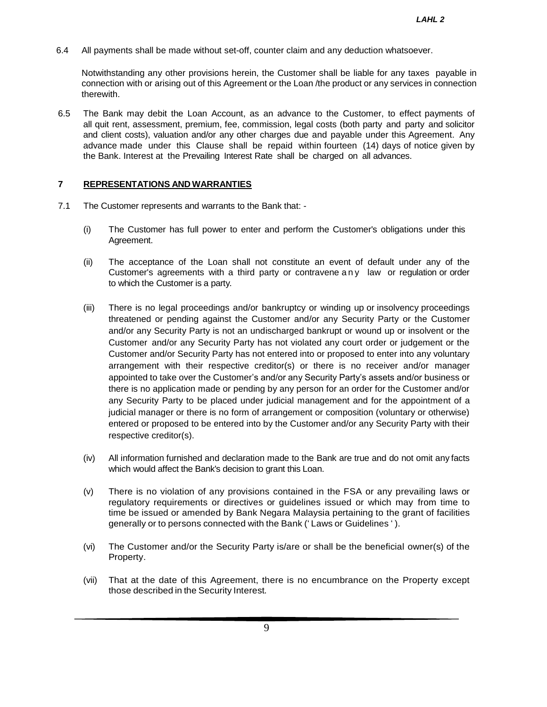6.4 All payments shall be made without set-off, counter claim and any deduction whatsoever.

Notwithstanding any other provisions herein, the Customer shall be liable for any taxes payable in connection with or arising out of this Agreement or the Loan /the product or any services in connection therewith.

6.5 The Bank may debit the Loan Account, as an advance to the Customer, to effect payments of all quit rent, assessment, premium, fee, commission, legal costs (both party and party and solicitor and client costs), valuation and/or any other charges due and payable under this Agreement. Any advance made under this Clause shall be repaid within fourteen (14) days of notice given by the Bank. Interest at the Prevailing Interest Rate shall be charged on all advances.

# **7 REPRESENTATIONS AND WARRANTIES**

- 7.1 The Customer represents and warrants to the Bank that:
	- (i) The Customer has full power to enter and perform the Customer's obligations under this Agreement.
	- (ii) The acceptance of the Loan shall not constitute an event of default under any of the Customer's agreements with a third party or contravene a n y law or regulation or order to which the Customer is a party.
	- (iii) There is no legal proceedings and/or bankruptcy or winding up or insolvency proceedings threatened or pending against the Customer and/or any Security Party or the Customer and/or any Security Party is not an undischarged bankrupt or wound up or insolvent or the Customer and/or any Security Party has not violated any court order or judgement or the Customer and/or Security Party has not entered into or proposed to enter into any voluntary arrangement with their respective creditor(s) or there is no receiver and/or manager appointed to take over the Customer's and/or any Security Party's assets and/or business or there is no application made or pending by any person for an order for the Customer and/or any Security Party to be placed under judicial management and for the appointment of a judicial manager or there is no form of arrangement or composition (voluntary or otherwise) entered or proposed to be entered into by the Customer and/or any Security Party with their respective creditor(s).
	- (iv) All information furnished and declaration made to the Bank are true and do not omit any facts which would affect the Bank's decision to grant this Loan.
	- (v) There is no violation of any provisions contained in the FSA or any prevailing laws or regulatory requirements or directives or guidelines issued or which may from time to time be issued or amended by Bank Negara Malaysia pertaining to the grant of facilities generally or to persons connected with the Bank (' Laws or Guidelines ' ).
	- (vi) The Customer and/or the Security Party is/are or shall be the beneficial owner(s) of the Property.
	- (vii) That at the date of this Agreement, there is no encumbrance on the Property except those described in the Security Interest.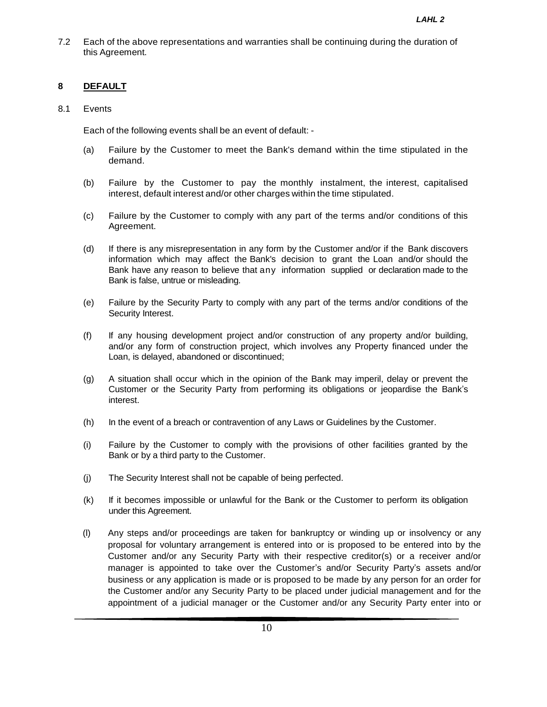7.2 Each of the above representations and warranties shall be continuing during the duration of this Agreement.

# **8 DEFAULT**

# 8.1 Events

Each of the following events shall be an event of default: -

- (a) Failure by the Customer to meet the Bank's demand within the time stipulated in the demand.
- (b) Failure by the Customer to pay the monthly instalment, the interest, capitalised interest, default interest and/or other charges within the time stipulated.
- (c) Failure by the Customer to comply with any part of the terms and/or conditions of this Agreement.
- (d) If there is any misrepresentation in any form by the Customer and/or if the Bank discovers information which may affect the Bank's decision to grant the Loan and/or should the Bank have any reason to believe that any information supplied or declaration made to the Bank is false, untrue or misleading.
- (e) Failure by the Security Party to comply with any part of the terms and/or conditions of the Security Interest.
- (f) If any housing development project and/or construction of any property and/or building, and/or any form of construction project, which involves any Property financed under the Loan, is delayed, abandoned or discontinued;
- (g) A situation shall occur which in the opinion of the Bank may imperil, delay or prevent the Customer or the Security Party from performing its obligations or jeopardise the Bank's interest.
- (h) In the event of a breach or contravention of any Laws or Guidelines by the Customer.
- (i) Failure by the Customer to comply with the provisions of other facilities granted by the Bank or by a third party to the Customer.
- (j) The Security Interest shall not be capable of being perfected.
- (k) If it becomes impossible or unlawful for the Bank or the Customer to perform its obligation under this Agreement.
- (l) Any steps and/or proceedings are taken for bankruptcy or winding up or insolvency or any proposal for voluntary arrangement is entered into or is proposed to be entered into by the Customer and/or any Security Party with their respective creditor(s) or a receiver and/or manager is appointed to take over the Customer's and/or Security Party's assets and/or business or any application is made or is proposed to be made by any person for an order for the Customer and/or any Security Party to be placed under judicial management and for the appointment of a judicial manager or the Customer and/or any Security Party enter into or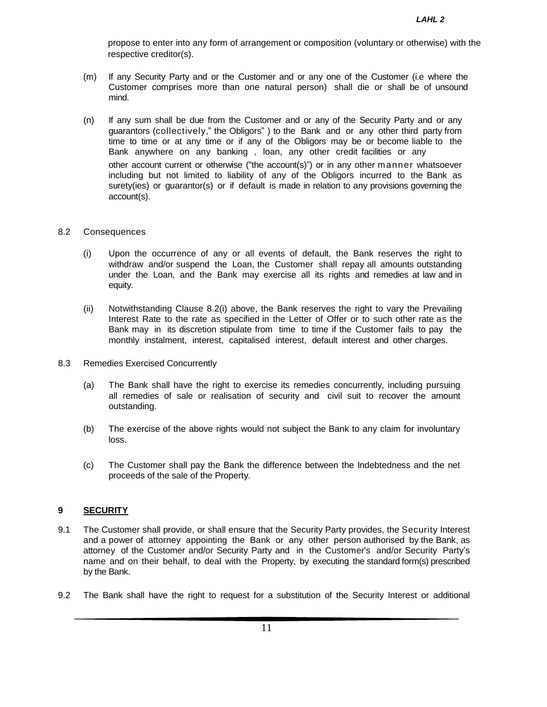propose to enter into any form of arrangement or composition (voluntary or otherwise) with the respective creditor(s).

- (m) If any Security Party and or the Customer and or any one of the Customer (i.e where the Customer comprises more than one natural person) shall die or shall be of unsound mind.
- (n) If any sum shall be due from the Customer and or any of the Security Party and or any guarantors (collectively," the Obligors" ) to the Bank and or any other third party from time to time or at any time or if any of the Obligors may be or become liable to the Bank anywhere on any banking , loan, any other credit facilities or any other account current or otherwise ("the account(s)") or in any other manner whatsoever including but not limited to liability of any of the Obligors incurred to the Bank as surety(ies) or guarantor(s) or if default is made in relation to any provisions governing the account(s).

#### 8.2 Consequences

- (i) Upon the occurrence of any or all events of default, the Bank reserves the right to withdraw and/or suspend the Loan, the Customer shall repay all amounts outstanding under the Loan, and the Bank may exercise all its rights and remedies at law and in equity.
- (ii) Notwithstanding Clause 8.2(i) above, the Bank reserves the right to vary the Prevailing Interest Rate to the rate as specified in the Letter of Offer or to such other rate as the Bank may in its discretion stipulate from time to time if the Customer fails to pay the monthly instalment, interest, capitalised interest, default interest and other charges.
- 8.3 Remedies Exercised Concurrently
	- (a) The Bank shall have the right to exercise its remedies concurrently, including pursuing all remedies of sale or realisation of security and civil suit to recover the amount outstanding.
	- (b) The exercise of the above rights would not subject the Bank to any claim for involuntary loss.
	- (c) The Customer shall pay the Bank the difference between the Indebtedness and the net proceeds of the sale of the Property.

# **9 SECURITY**

- 9.1 The Customer shall provide, or shall ensure that the Security Party provides, the Security Interest and a power of attorney appointing the Bank or any other person authorised by the Bank, as attorney of the Customer and/or Security Party and in the Customer's and/or Security Party's name and on their behalf, to deal with the Property, by executing the standard form(s) prescribed by the Bank.
- 9.2 The Bank shall have the right to request for a substitution of the Security Interest or additional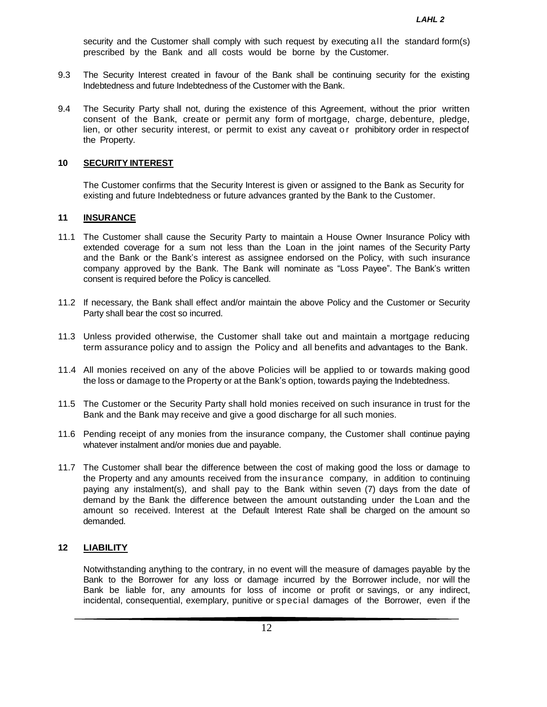security and the Customer shall comply with such request by executing all the standard form(s) prescribed by the Bank and all costs would be borne by the Customer.

- 9.3 The Security Interest created in favour of the Bank shall be continuing security for the existing Indebtedness and future Indebtedness of the Customer with the Bank.
- 9.4 The Security Party shall not, during the existence of this Agreement, without the prior written consent of the Bank, create or permit any form of mortgage, charge, debenture, pledge, lien, or other security interest, or permit to exist any caveat or prohibitory order in respectof the Property.

#### **10 SECURITY INTEREST**

The Customer confirms that the Security Interest is given or assigned to the Bank as Security for existing and future Indebtedness or future advances granted by the Bank to the Customer.

### **11 INSURANCE**

- 11.1 The Customer shall cause the Security Party to maintain a House Owner Insurance Policy with extended coverage for a sum not less than the Loan in the joint names of the Security Party and the Bank or the Bank's interest as assignee endorsed on the Policy, with such insurance company approved by the Bank. The Bank will nominate as "Loss Payee". The Bank's written consent is required before the Policy is cancelled.
- 11.2 If necessary, the Bank shall effect and/or maintain the above Policy and the Customer or Security Party shall bear the cost so incurred.
- 11.3 Unless provided otherwise, the Customer shall take out and maintain a mortgage reducing term assurance policy and to assign the Policy and all benefits and advantages to the Bank.
- 11.4 All monies received on any of the above Policies will be applied to or towards making good the loss or damage to the Property or at the Bank's option, towards paying the Indebtedness.
- 11.5 The Customer or the Security Party shall hold monies received on such insurance in trust for the Bank and the Bank may receive and give a good discharge for all such monies.
- 11.6 Pending receipt of any monies from the insurance company, the Customer shall continue paying whatever instalment and/or monies due and payable.
- 11.7 The Customer shall bear the difference between the cost of making good the loss or damage to the Property and any amounts received from the insurance company, in addition to continuing paying any instalment(s), and shall pay to the Bank within seven (7) days from the date of demand by the Bank the difference between the amount outstanding under the Loan and the amount so received. Interest at the Default Interest Rate shall be charged on the amount so demanded.

### **12 LIABILITY**

Notwithstanding anything to the contrary, in no event will the measure of damages payable by the Bank to the Borrower for any loss or damage incurred by the Borrower include, nor will the Bank be liable for, any amounts for loss of income or profit or savings, or any indirect, incidental, consequential, exemplary, punitive or special damages of the Borrower, even if the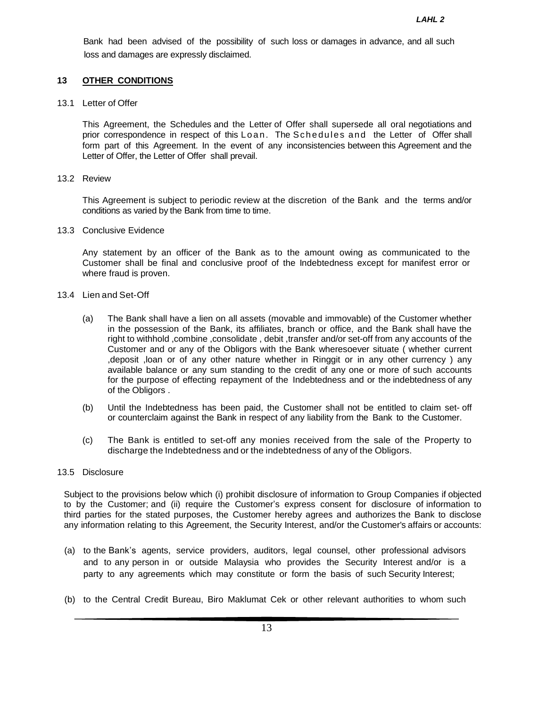Bank had been advised of the possibility of such loss or damages in advance, and all such loss and damages are expressly disclaimed.

### **13 OTHER CONDITIONS**

13.1 Letter of Offer

This Agreement, the Schedules and the Letter of Offer shall supersede all oral negotiations and prior correspondence in respect of this Loan. The Schedules and the Letter of Offer shall form part of this Agreement. In the event of any inconsistencies between this Agreement and the Letter of Offer, the Letter of Offer shall prevail.

13.2 Review

This Agreement is subject to periodic review at the discretion of the Bank and the terms and/or conditions as varied by the Bank from time to time.

13.3 Conclusive Evidence

Any statement by an officer of the Bank as to the amount owing as communicated to the Customer shall be final and conclusive proof of the Indebtedness except for manifest error or where fraud is proven.

- 13.4 Lien and Set-Off
	- (a) The Bank shall have a lien on all assets (movable and immovable) of the Customer whether in the possession of the Bank, its affiliates, branch or office, and the Bank shall have the right to withhold ,combine ,consolidate , debit ,transfer and/or set-off from any accounts of the Customer and or any of the Obligors with the Bank wheresoever situate ( whether current ,deposit ,loan or of any other nature whether in Ringgit or in any other currency ) any available balance or any sum standing to the credit of any one or more of such accounts for the purpose of effecting repayment of the Indebtedness and or the indebtedness of any of the Obligors .
	- (b) Until the Indebtedness has been paid, the Customer shall not be entitled to claim set- off or counterclaim against the Bank in respect of any liability from the Bank to the Customer.
	- (c) The Bank is entitled to set-off any monies received from the sale of the Property to discharge the Indebtedness and or the indebtedness of any of the Obligors.

#### 13.5 Disclosure

Subject to the provisions below which (i) prohibit disclosure of information to Group Companies if objected to by the Customer; and (ii) require the Customer's express consent for disclosure of information to third parties for the stated purposes, the Customer hereby agrees and authorizes the Bank to disclose any information relating to this Agreement, the Security Interest, and/or the Customer's affairs or accounts:

- (a) to the Bank's agents, service providers, auditors, legal counsel, other professional advisors and to any person in or outside Malaysia who provides the Security Interest and/or is a party to any agreements which may constitute or form the basis of such Security Interest;
- (b) to the Central Credit Bureau, Biro Maklumat Cek or other relevant authorities to whom such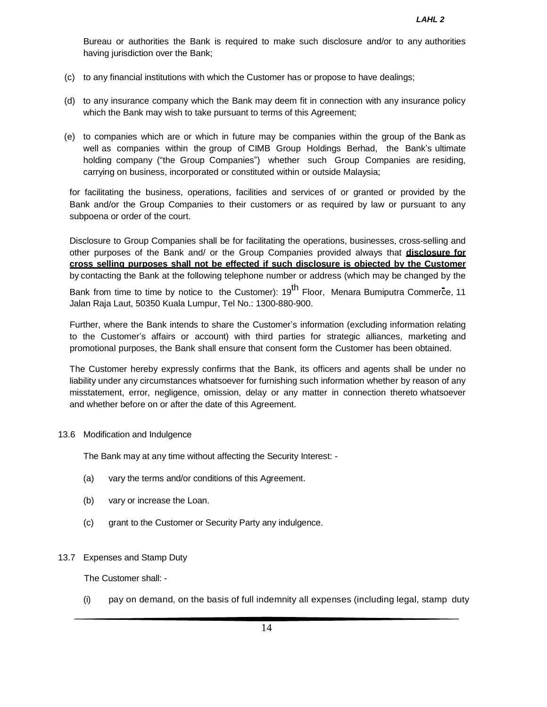Bureau or authorities the Bank is required to make such disclosure and/or to any authorities having jurisdiction over the Bank;

- (c) to any financial institutions with which the Customer has or propose to have dealings;
- (d) to any insurance company which the Bank may deem fit in connection with any insurance policy which the Bank may wish to take pursuant to terms of this Agreement;
- (e) to companies which are or which in future may be companies within the group of the Bank as well as companies within the group of CIMB Group Holdings Berhad, the Bank's ultimate holding company ("the Group Companies") whether such Group Companies are residing, carrying on business, incorporated or constituted within or outside Malaysia;

for facilitating the business, operations, facilities and services of or granted or provided by the Bank and/or the Group Companies to their customers or as required by law or pursuant to any subpoena or order of the court.

Disclosure to Group Companies shall be for facilitating the operations, businesses, cross-selling and other purposes of the Bank and/ or the Group Companies provided always that **disclosure for cross selling purposes shall not be effected if such disclosure is objected by the Customer** by contacting the Bank at the following telephone number or address (which may be changed by the Bank from time to time by notice to the Customer): 19<sup>th</sup> Floor, Menara Bumiputra Commerce, 11 Jalan Raja Laut, 50350 Kuala Lumpur, Tel No.: 1300-880-900.

Further, where the Bank intends to share the Customer's information (excluding information relating to the Customer's affairs or account) with third parties for strategic alliances, marketing and promotional purposes, the Bank shall ensure that consent form the Customer has been obtained.

The Customer hereby expressly confirms that the Bank, its officers and agents shall be under no liability under any circumstances whatsoever for furnishing such information whether by reason of any misstatement, error, negligence, omission, delay or any matter in connection thereto whatsoever and whether before on or after the date of this Agreement.

#### 13.6 Modification and Indulgence

The Bank may at any time without affecting the Security Interest: -

- (a) vary the terms and/or conditions of this Agreement.
- (b) vary or increase the Loan.
- (c) grant to the Customer or Security Party any indulgence.

#### 13.7 Expenses and Stamp Duty

The Customer shall: -

(i) pay on demand, on the basis of full indemnity all expenses (including legal, stamp duty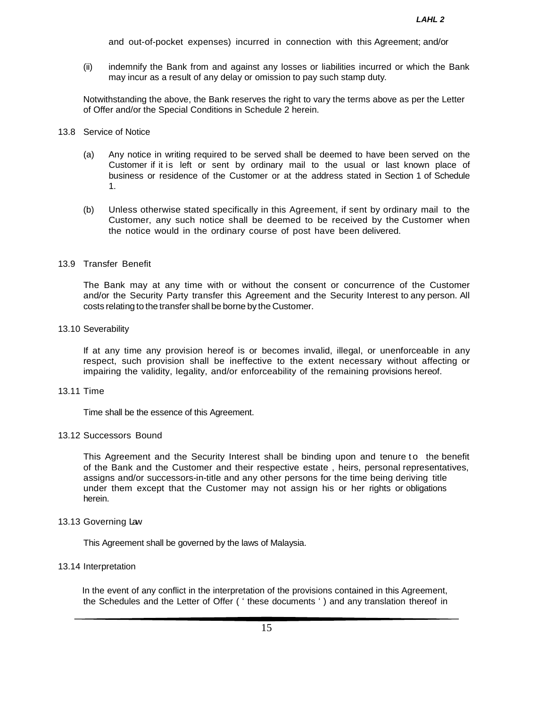and out-of-pocket expenses) incurred in connection with this Agreement; and/or

(ii) indemnify the Bank from and against any losses or liabilities incurred or which the Bank may incur as a result of any delay or omission to pay such stamp duty.

Notwithstanding the above, the Bank reserves the right to vary the terms above as per the Letter of Offer and/or the Special Conditions in Schedule 2 herein.

#### 13.8 Service of Notice

- (a) Any notice in writing required to be served shall be deemed to have been served on the Customer if it is left or sent by ordinary mail to the usual or last known place of business or residence of the Customer or at the address stated in Section 1 of Schedule 1.
- (b) Unless otherwise stated specifically in this Agreement, if sent by ordinary mail to the Customer, any such notice shall be deemed to be received by the Customer when the notice would in the ordinary course of post have been delivered.

#### 13.9 Transfer Benefit

The Bank may at any time with or without the consent or concurrence of the Customer and/or the Security Party transfer this Agreement and the Security Interest to any person. All costs relating to the transfer shall be borne by the Customer.

#### 13.10 Severability

If at any time any provision hereof is or becomes invalid, illegal, or unenforceable in any respect, such provision shall be ineffective to the extent necessary without affecting or impairing the validity, legality, and/or enforceability of the remaining provisions hereof.

#### 13.11 Time

Time shall be the essence of this Agreement.

### 13.12 Successors Bound

This Agreement and the Security Interest shall be binding upon and tenure to the benefit of the Bank and the Customer and their respective estate , heirs, personal representatives, assigns and/or successors-in-title and any other persons for the time being deriving title under them except that the Customer may not assign his or her rights or obligations herein.

### 13.13 Governing Law

This Agreement shall be governed by the laws of Malaysia.

### 13.14 Interpretation

In the event of any conflict in the interpretation of the provisions contained in this Agreement, the Schedules and the Letter of Offer ( ' these documents ' ) and any translation thereof in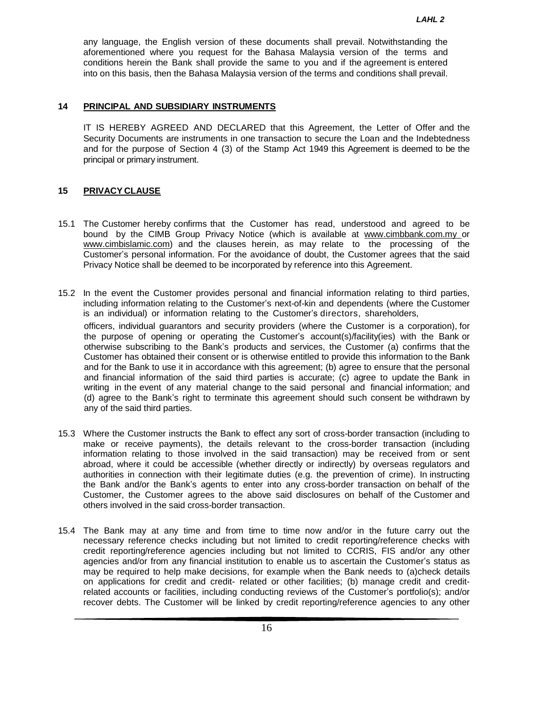any language, the English version of these documents shall prevail. Notwithstanding the aforementioned where you request for the Bahasa Malaysia version of the terms and conditions herein the Bank shall provide the same to you and if the agreement is entered into on this basis, then the Bahasa Malaysia version of the terms and conditions shall prevail.

### **14 PRINCIPAL AND SUBSIDIARY INSTRUMENTS**

IT IS HEREBY AGREED AND DECLARED that this Agreement, the Letter of Offer and the Security Documents are instruments in one transaction to secure the Loan and the Indebtedness and for the purpose of Section 4 (3) of the Stamp Act 1949 this Agreement is deemed to be the principal or primary instrument.

# **15 PRIVACY CLAUSE**

- 15.1 The Customer hereby confirms that the Customer has read, understood and agreed to be bound by the CIMB Group Privacy Notice (which is available at [www.cimbbank.com.my](http://www.cimbbank.com.my/) or www.cimbislamic.com) and the clauses herein, as may relate to the processing of the Customer's personal information. For the avoidance of doubt, the Customer agrees that the said Privacy Notice shall be deemed to be incorporated by reference into this Agreement.
- 15.2 In the event the Customer provides personal and financial information relating to third parties, including information relating to the Customer's next-of-kin and dependents (where the Customer is an individual) or information relating to the Customer's directors, shareholders, officers, individual guarantors and security providers (where the Customer is a corporation), for the purpose of opening or operating the Customer's account(s)/facility(ies) with the Bank or otherwise subscribing to the Bank's products and services, the Customer (a) confirms that the Customer has obtained their consent or is otherwise entitled to provide this information to the Bank and for the Bank to use it in accordance with this agreement; (b) agree to ensure that the personal and financial information of the said third parties is accurate; (c) agree to update the Bank in writing in the event of any material change to the said personal and financial information; and (d) agree to the Bank's right to terminate this agreement should such consent be withdrawn by any of the said third parties.
- 15.3 Where the Customer instructs the Bank to effect any sort of cross-border transaction (including to make or receive payments), the details relevant to the cross-border transaction (including information relating to those involved in the said transaction) may be received from or sent abroad, where it could be accessible (whether directly or indirectly) by overseas regulators and authorities in connection with their legitimate duties (e.g. the prevention of crime). In instructing the Bank and/or the Bank's agents to enter into any cross-border transaction on behalf of the Customer, the Customer agrees to the above said disclosures on behalf of the Customer and others involved in the said cross-border transaction.
- 15.4 The Bank may at any time and from time to time now and/or in the future carry out the necessary reference checks including but not limited to credit reporting/reference checks with credit reporting/reference agencies including but not limited to CCRIS, FIS and/or any other agencies and/or from any financial institution to enable us to ascertain the Customer's status as may be required to help make decisions, for example when the Bank needs to (a)check details on applications for credit and credit- related or other facilities; (b) manage credit and creditrelated accounts or facilities, including conducting reviews of the Customer's portfolio(s); and/or recover debts. The Customer will be linked by credit reporting/reference agencies to any other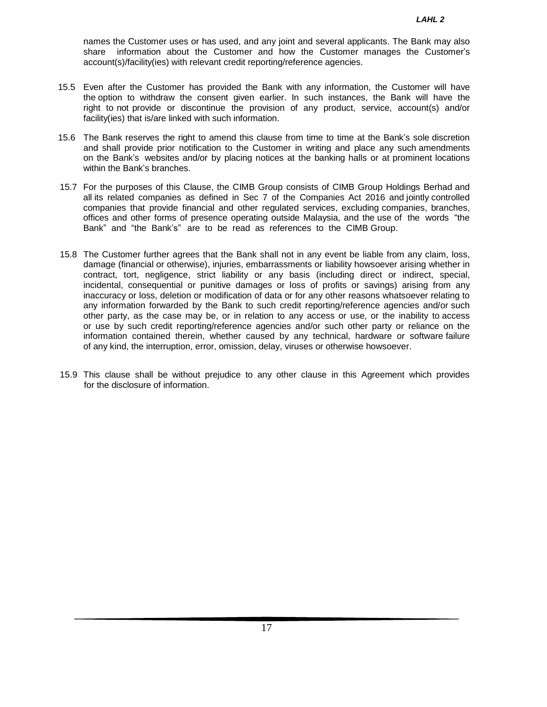names the Customer uses or has used, and any joint and several applicants. The Bank may also share information about the Customer and how the Customer manages the Customer's account(s)/facility(ies) with relevant credit reporting/reference agencies.

- 15.5 Even after the Customer has provided the Bank with any information, the Customer will have the option to withdraw the consent given earlier. In such instances, the Bank will have the right to not provide or discontinue the provision of any product, service, account(s) and/or facility(ies) that is/are linked with such information.
- 15.6 The Bank reserves the right to amend this clause from time to time at the Bank's sole discretion and shall provide prior notification to the Customer in writing and place any such amendments on the Bank's websites and/or by placing notices at the banking halls or at prominent locations within the Bank's branches.
- 15.7 For the purposes of this Clause, the CIMB Group consists of CIMB Group Holdings Berhad and all its related companies as defined in Sec 7 of the Companies Act 2016 and jointly controlled companies that provide financial and other regulated services, excluding companies, branches, offices and other forms of presence operating outside Malaysia, and the use of the words "the Bank" and "the Bank's" are to be read as references to the CIMB Group.
- 15.8 The Customer further agrees that the Bank shall not in any event be liable from any claim, loss, damage (financial or otherwise), injuries, embarrassments or liability howsoever arising whether in contract, tort, negligence, strict liability or any basis (including direct or indirect, special, incidental, consequential or punitive damages or loss of profits or savings) arising from any inaccuracy or loss, deletion or modification of data or for any other reasons whatsoever relating to any information forwarded by the Bank to such credit reporting/reference agencies and/or such other party, as the case may be, or in relation to any access or use, or the inability to access or use by such credit reporting/reference agencies and/or such other party or reliance on the information contained therein, whether caused by any technical, hardware or software failure of any kind, the interruption, error, omission, delay, viruses or otherwise howsoever.
- 15.9 This clause shall be without prejudice to any other clause in this Agreement which provides for the disclosure of information.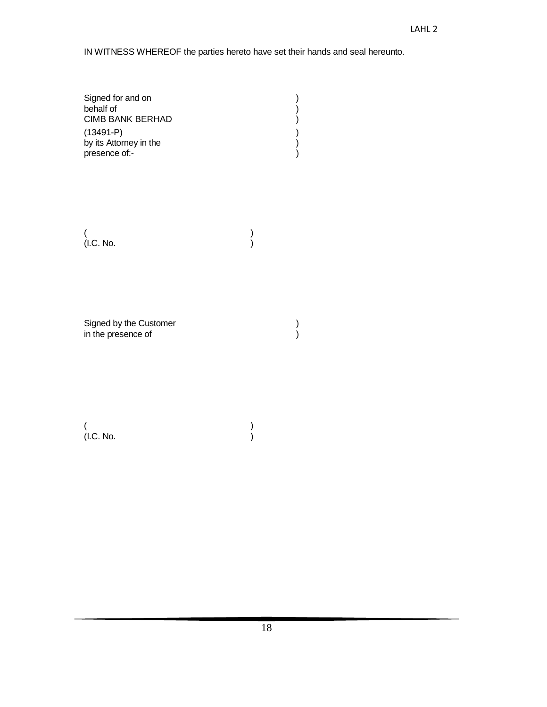IN WITNESS WHEREOF the parties hereto have set their hands and seal hereunto.

| Signed for and on      |  |
|------------------------|--|
| behalf of              |  |
| CIMB BANK BERHAD       |  |
| $(13491 - P)$          |  |
| by its Attorney in the |  |
| presence of:-          |  |

 $($ (I.C. No. )

Signed by the Customer (a) and  $($ ) and  $($ ) and  $($ ) and  $($ ) and  $($ ) and  $($ ) and  $($ ) and  $($ ) and  $($ ) and  $($ ) and  $($ ) and  $($ ) and  $($ ) and  $($ ) and  $($ ) and  $($ ) and  $($ ) and  $($ ) and  $($ ) and  $($ ) and  $($ ) and  $($ in the presence of  $\hspace{1.6cm}$ )

 $($ (I.C. No. )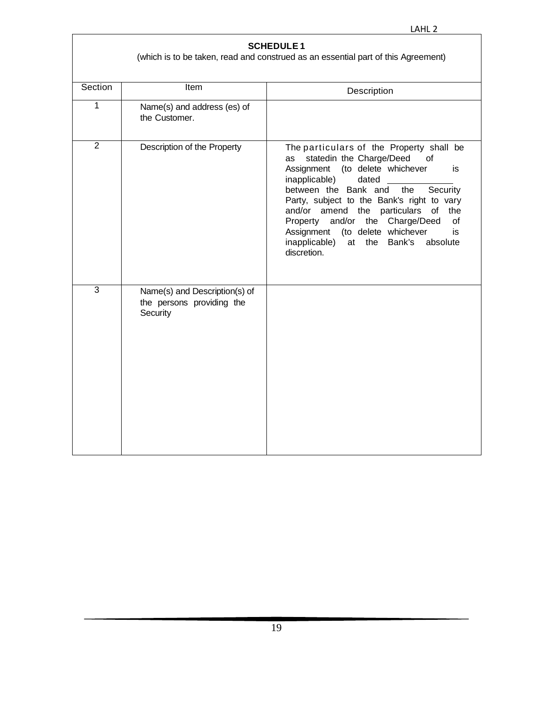| <b>SCHEDULE1</b><br>(which is to be taken, read and construed as an essential part of this Agreement) |                                                                        |                                                                                                                                                                                                                                                                                                                                                                                                                                                   |  |  |  |
|-------------------------------------------------------------------------------------------------------|------------------------------------------------------------------------|---------------------------------------------------------------------------------------------------------------------------------------------------------------------------------------------------------------------------------------------------------------------------------------------------------------------------------------------------------------------------------------------------------------------------------------------------|--|--|--|
| Section                                                                                               | Item                                                                   | Description                                                                                                                                                                                                                                                                                                                                                                                                                                       |  |  |  |
| 1                                                                                                     | Name(s) and address (es) of<br>the Customer.                           |                                                                                                                                                                                                                                                                                                                                                                                                                                                   |  |  |  |
| $\overline{2}$                                                                                        | Description of the Property                                            | The particulars of the Property shall be<br>statedin the Charge/Deed<br>of<br>as<br>Assignment (to delete whichever<br>is<br>inapplicable)<br>dated<br>between the Bank and<br>Security<br>the<br>Party, subject to the Bank's right to vary<br>and/or amend the particulars of<br>the<br>and/or<br>the Charge/Deed<br>Property<br>οf<br>(to delete whichever<br>Assignment<br>is<br>inapplicable)<br>Bank's<br>at the<br>absolute<br>discretion. |  |  |  |
| 3                                                                                                     | Name(s) and Description(s) of<br>the persons providing the<br>Security |                                                                                                                                                                                                                                                                                                                                                                                                                                                   |  |  |  |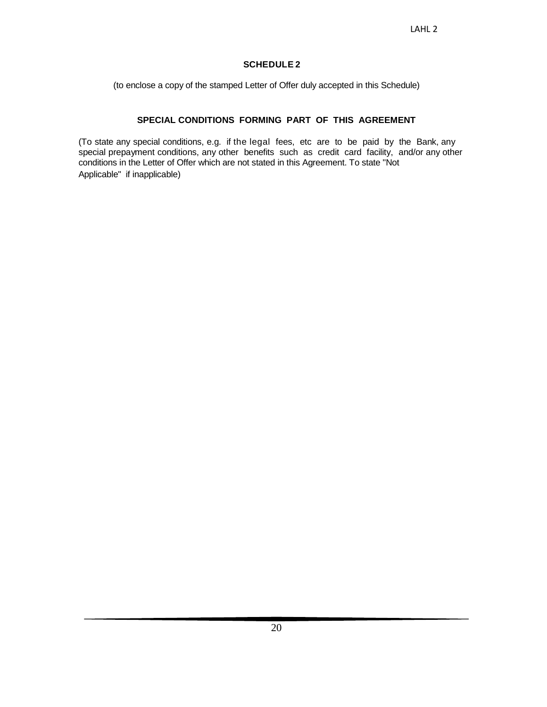# **SCHEDULE 2**

(to enclose a copy of the stamped Letter of Offer duly accepted in this Schedule)

# **SPECIAL CONDITIONS FORMING PART OF THIS AGREEMENT**

(To state any special conditions, e.g. if the legal fees, etc are to be paid by the Bank, any special prepayment conditions, any other benefits such as credit card facility, and/or any other conditions in the Letter of Offer which are not stated in this Agreement. To state "Not Applicable" if inapplicable)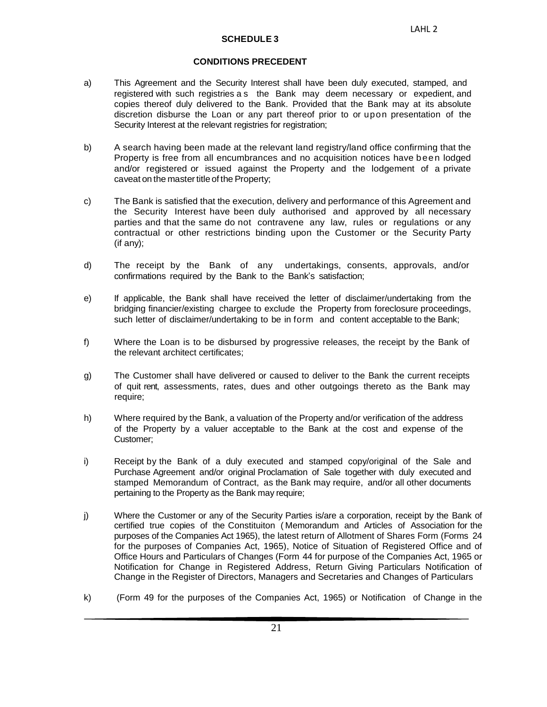# **CONDITIONS PRECEDENT**

- a) This Agreement and the Security Interest shall have been duly executed, stamped, and registered with such registries a s the Bank may deem necessary or expedient, and copies thereof duly delivered to the Bank. Provided that the Bank may at its absolute discretion disburse the Loan or any part thereof prior to or upon presentation of the Security Interest at the relevant registries for registration;
- b) A search having been made at the relevant land registry/land office confirming that the Property is free from all encumbrances and no acquisition notices have been lodged and/or registered or issued against the Property and the lodgement of a private caveat on the master title of the Property:
- c) The Bank is satisfied that the execution, delivery and performance of this Agreement and the Security Interest have been duly authorised and approved by all necessary parties and that the same do not contravene any law, rules or regulations or any contractual or other restrictions binding upon the Customer or the Security Party (if any);
- d) The receipt by the Bank of any undertakings, consents, approvals, and/or confirmations required by the Bank to the Bank's satisfaction;
- e) If applicable, the Bank shall have received the letter of disclaimer/undertaking from the bridging financier/existing chargee to exclude the Property from foreclosure proceedings, such letter of disclaimer/undertaking to be in form and content acceptable to the Bank;
- f) Where the Loan is to be disbursed by progressive releases, the receipt by the Bank of the relevant architect certificates;
- g) The Customer shall have delivered or caused to deliver to the Bank the current receipts of quit rent, assessments, rates, dues and other outgoings thereto as the Bank may require;
- h) Where required by the Bank, a valuation of the Property and/or verification of the address of the Property by a valuer acceptable to the Bank at the cost and expense of the Customer;
- i) Receipt by the Bank of a duly executed and stamped copy/original of the Sale and Purchase Agreement and/or original Proclamation of Sale together with duly executed and stamped Memorandum of Contract, as the Bank may require, and/or all other documents pertaining to the Property as the Bank may require;
- j) Where the Customer or any of the Security Parties is/are a corporation, receipt by the Bank of certified true copies of the Constituiton ( Memorandum and Articles of Association for the purposes of the Companies Act 1965), the latest return of Allotment of Shares Form (Forms 24 for the purposes of Companies Act, 1965), Notice of Situation of Registered Office and of Office Hours and Particulars of Changes (Form 44 for purpose of the Companies Act, 1965 or Notification for Change in Registered Address, Return Giving Particulars Notification of Change in the Register of Directors, Managers and Secretaries and Changes of Particulars
- k) (Form 49 for the purposes of the Companies Act, 1965) or Notification of Change in the